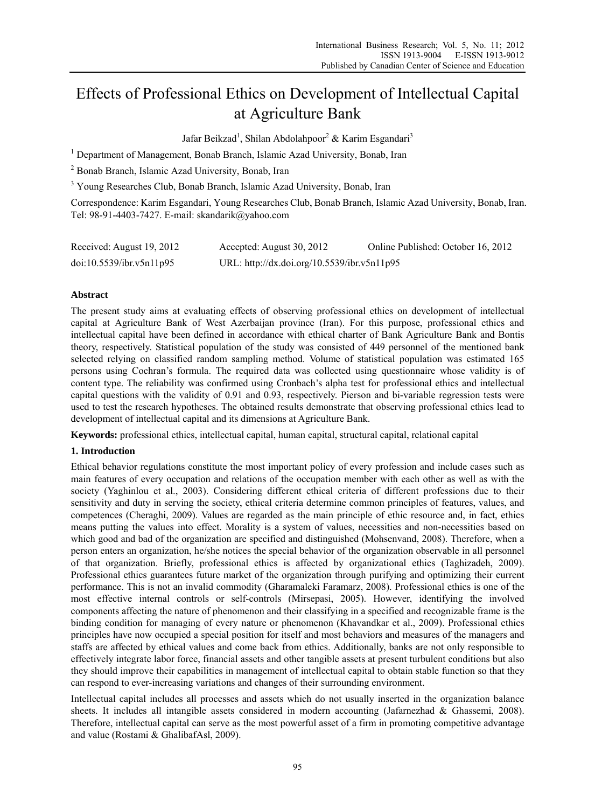# Effects of Professional Ethics on Development of Intellectual Capital at Agriculture Bank

Jafar Beikzad<sup>1</sup>, Shilan Abdolahpoor<sup>2</sup> & Karim Esgandari<sup>3</sup>

<sup>1</sup> Department of Management, Bonab Branch, Islamic Azad University, Bonab, Iran

2 Bonab Branch, Islamic Azad University, Bonab, Iran

<sup>3</sup> Young Researches Club, Bonab Branch, Islamic Azad University, Bonab, Iran

Correspondence: Karim Esgandari, Young Researches Club, Bonab Branch, Islamic Azad University, Bonab, Iran. Tel: 98-91-4403-7427. E-mail: skandarik@yahoo.com

| Received: August 19, 2012 | Accepted: August 30, 2012                   | Online Published: October 16, 2012 |
|---------------------------|---------------------------------------------|------------------------------------|
| doi:10.5539/ibr.v5n11p95  | URL: http://dx.doi.org/10.5539/ibr.v5n11p95 |                                    |

# **Abstract**

The present study aims at evaluating effects of observing professional ethics on development of intellectual capital at Agriculture Bank of West Azerbaijan province (Iran). For this purpose, professional ethics and intellectual capital have been defined in accordance with ethical charter of Bank Agriculture Bank and Bontis theory, respectively. Statistical population of the study was consisted of 449 personnel of the mentioned bank selected relying on classified random sampling method. Volume of statistical population was estimated 165 persons using Cochran's formula. The required data was collected using questionnaire whose validity is of content type. The reliability was confirmed using Cronbach's alpha test for professional ethics and intellectual capital questions with the validity of 0.91 and 0.93, respectively. Pierson and bi-variable regression tests were used to test the research hypotheses. The obtained results demonstrate that observing professional ethics lead to development of intellectual capital and its dimensions at Agriculture Bank.

**Keywords:** professional ethics, intellectual capital, human capital, structural capital, relational capital

# **1. Introduction**

Ethical behavior regulations constitute the most important policy of every profession and include cases such as main features of every occupation and relations of the occupation member with each other as well as with the society (Yaghinlou et al., 2003). Considering different ethical criteria of different professions due to their sensitivity and duty in serving the society, ethical criteria determine common principles of features, values, and competences (Cheraghi, 2009). Values are regarded as the main principle of ethic resource and, in fact, ethics means putting the values into effect. Morality is a system of values, necessities and non-necessities based on which good and bad of the organization are specified and distinguished (Mohsenvand, 2008). Therefore, when a person enters an organization, he/she notices the special behavior of the organization observable in all personnel of that organization. Briefly, professional ethics is affected by organizational ethics (Taghizadeh, 2009). Professional ethics guarantees future market of the organization through purifying and optimizing their current performance. This is not an invalid commodity (Gharamaleki Faramarz, 2008). Professional ethics is one of the most effective internal controls or self-controls (Mirsepasi, 2005). However, identifying the involved components affecting the nature of phenomenon and their classifying in a specified and recognizable frame is the binding condition for managing of every nature or phenomenon (Khavandkar et al., 2009). Professional ethics principles have now occupied a special position for itself and most behaviors and measures of the managers and staffs are affected by ethical values and come back from ethics. Additionally, banks are not only responsible to effectively integrate labor force, financial assets and other tangible assets at present turbulent conditions but also they should improve their capabilities in management of intellectual capital to obtain stable function so that they can respond to ever-increasing variations and changes of their surrounding environment.

Intellectual capital includes all processes and assets which do not usually inserted in the organization balance sheets. It includes all intangible assets considered in modern accounting (Jafarnezhad & Ghassemi, 2008). Therefore, intellectual capital can serve as the most powerful asset of a firm in promoting competitive advantage and value (Rostami & GhalibafAsl, 2009).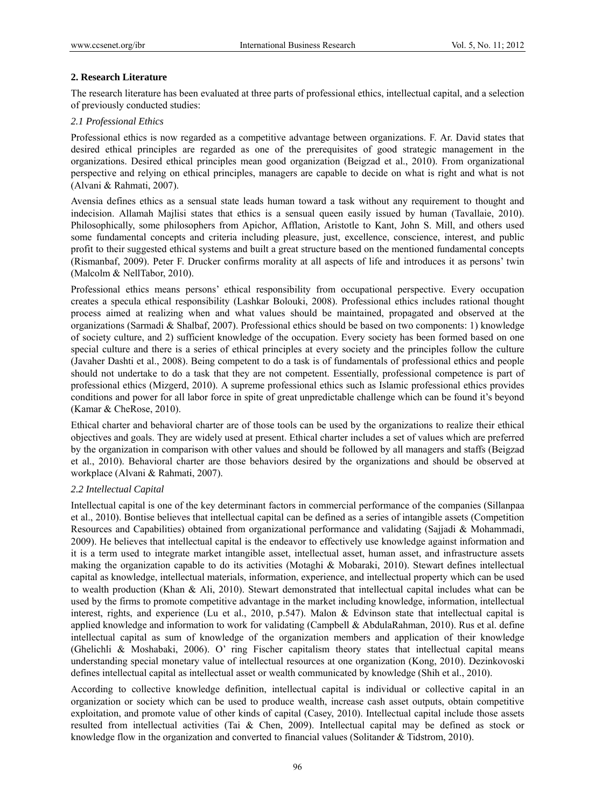# **2. Research Literature**

The research literature has been evaluated at three parts of professional ethics, intellectual capital, and a selection of previously conducted studies:

# *2.1 Professional Ethics*

Professional ethics is now regarded as a competitive advantage between organizations. F. Ar. David states that desired ethical principles are regarded as one of the prerequisites of good strategic management in the organizations. Desired ethical principles mean good organization (Beigzad et al., 2010). From organizational perspective and relying on ethical principles, managers are capable to decide on what is right and what is not (Alvani & Rahmati, 2007).

Avensia defines ethics as a sensual state leads human toward a task without any requirement to thought and indecision. Allamah Majlisi states that ethics is a sensual queen easily issued by human (Tavallaie, 2010). Philosophically, some philosophers from Apichor, Afflation, Aristotle to Kant, John S. Mill, and others used some fundamental concepts and criteria including pleasure, just, excellence, conscience, interest, and public profit to their suggested ethical systems and built a great structure based on the mentioned fundamental concepts (Rismanbaf, 2009). Peter F. Drucker confirms morality at all aspects of life and introduces it as persons' twin (Malcolm & NellTabor, 2010).

Professional ethics means persons' ethical responsibility from occupational perspective. Every occupation creates a specula ethical responsibility (Lashkar Bolouki, 2008). Professional ethics includes rational thought process aimed at realizing when and what values should be maintained, propagated and observed at the organizations (Sarmadi & Shalbaf, 2007). Professional ethics should be based on two components: 1) knowledge of society culture, and 2) sufficient knowledge of the occupation. Every society has been formed based on one special culture and there is a series of ethical principles at every society and the principles follow the culture (Javaher Dashti et al., 2008). Being competent to do a task is of fundamentals of professional ethics and people should not undertake to do a task that they are not competent. Essentially, professional competence is part of professional ethics (Mizgerd, 2010). A supreme professional ethics such as Islamic professional ethics provides conditions and power for all labor force in spite of great unpredictable challenge which can be found it's beyond (Kamar & CheRose, 2010).

Ethical charter and behavioral charter are of those tools can be used by the organizations to realize their ethical objectives and goals. They are widely used at present. Ethical charter includes a set of values which are preferred by the organization in comparison with other values and should be followed by all managers and staffs (Beigzad et al., 2010). Behavioral charter are those behaviors desired by the organizations and should be observed at workplace (Alvani & Rahmati, 2007).

# *2.2 Intellectual Capital*

Intellectual capital is one of the key determinant factors in commercial performance of the companies (Sillanpaa et al., 2010). Bontise believes that intellectual capital can be defined as a series of intangible assets (Competition Resources and Capabilities) obtained from organizational performance and validating (Sajjadi & Mohammadi, 2009). He believes that intellectual capital is the endeavor to effectively use knowledge against information and it is a term used to integrate market intangible asset, intellectual asset, human asset, and infrastructure assets making the organization capable to do its activities (Motaghi & Mobaraki, 2010). Stewart defines intellectual capital as knowledge, intellectual materials, information, experience, and intellectual property which can be used to wealth production (Khan & Ali, 2010). Stewart demonstrated that intellectual capital includes what can be used by the firms to promote competitive advantage in the market including knowledge, information, intellectual interest, rights, and experience (Lu et al., 2010, p.547). Malon & Edvinson state that intellectual capital is applied knowledge and information to work for validating (Campbell & AbdulaRahman, 2010). Rus et al. define intellectual capital as sum of knowledge of the organization members and application of their knowledge (Ghelichli & Moshabaki, 2006). O' ring Fischer capitalism theory states that intellectual capital means understanding special monetary value of intellectual resources at one organization (Kong, 2010). Dezinkovoski defines intellectual capital as intellectual asset or wealth communicated by knowledge (Shih et al., 2010).

According to collective knowledge definition, intellectual capital is individual or collective capital in an organization or society which can be used to produce wealth, increase cash asset outputs, obtain competitive exploitation, and promote value of other kinds of capital (Casey, 2010). Intellectual capital include those assets resulted from intellectual activities (Tai & Chen, 2009). Intellectual capital may be defined as stock or knowledge flow in the organization and converted to financial values (Solitander & Tidstrom, 2010).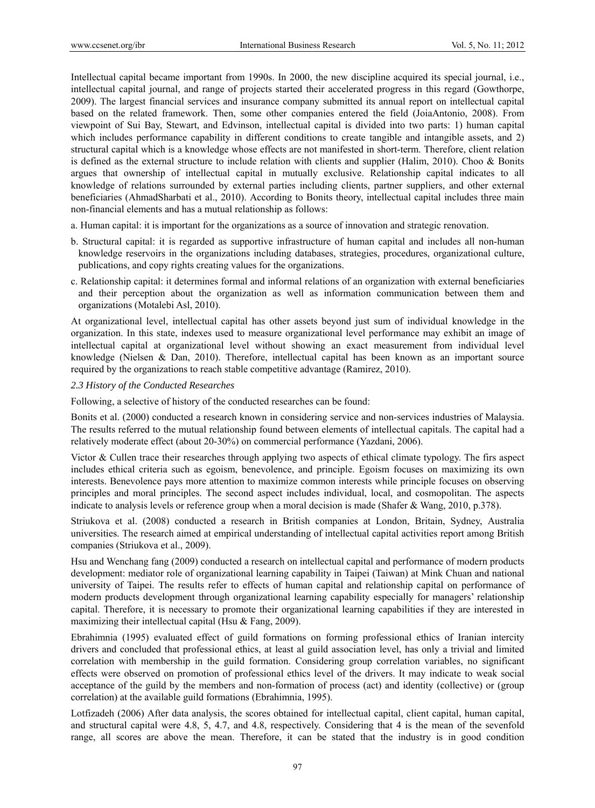Intellectual capital became important from 1990s. In 2000, the new discipline acquired its special journal, i.e., intellectual capital journal, and range of projects started their accelerated progress in this regard (Gowthorpe, 2009). The largest financial services and insurance company submitted its annual report on intellectual capital based on the related framework. Then, some other companies entered the field (JoiaAntonio, 2008). From viewpoint of Sui Bay, Stewart, and Edvinson, intellectual capital is divided into two parts: 1) human capital which includes performance capability in different conditions to create tangible and intangible assets, and 2) structural capital which is a knowledge whose effects are not manifested in short-term. Therefore, client relation is defined as the external structure to include relation with clients and supplier (Halim, 2010). Choo & Bonits argues that ownership of intellectual capital in mutually exclusive. Relationship capital indicates to all knowledge of relations surrounded by external parties including clients, partner suppliers, and other external beneficiaries (AhmadSharbati et al., 2010). According to Bonits theory, intellectual capital includes three main non-financial elements and has a mutual relationship as follows:

- a. Human capital: it is important for the organizations as a source of innovation and strategic renovation.
- b. Structural capital: it is regarded as supportive infrastructure of human capital and includes all non-human knowledge reservoirs in the organizations including databases, strategies, procedures, organizational culture, publications, and copy rights creating values for the organizations.
- c. Relationship capital: it determines formal and informal relations of an organization with external beneficiaries and their perception about the organization as well as information communication between them and organizations (Motalebi Asl, 2010).

At organizational level, intellectual capital has other assets beyond just sum of individual knowledge in the organization. In this state, indexes used to measure organizational level performance may exhibit an image of intellectual capital at organizational level without showing an exact measurement from individual level knowledge (Nielsen & Dan, 2010). Therefore, intellectual capital has been known as an important source required by the organizations to reach stable competitive advantage (Ramirez, 2010).

## *2.3 History of the Conducted Researches*

Following, a selective of history of the conducted researches can be found:

Bonits et al. (2000) conducted a research known in considering service and non-services industries of Malaysia. The results referred to the mutual relationship found between elements of intellectual capitals. The capital had a relatively moderate effect (about 20-30%) on commercial performance (Yazdani, 2006).

Victor & Cullen trace their researches through applying two aspects of ethical climate typology. The firs aspect includes ethical criteria such as egoism, benevolence, and principle. Egoism focuses on maximizing its own interests. Benevolence pays more attention to maximize common interests while principle focuses on observing principles and moral principles. The second aspect includes individual, local, and cosmopolitan. The aspects indicate to analysis levels or reference group when a moral decision is made (Shafer & Wang, 2010, p.378).

Striukova et al. (2008) conducted a research in British companies at London, Britain, Sydney, Australia universities. The research aimed at empirical understanding of intellectual capital activities report among British companies (Striukova et al., 2009).

Hsu and Wenchang fang (2009) conducted a research on intellectual capital and performance of modern products development: mediator role of organizational learning capability in Taipei (Taiwan) at Mink Chuan and national university of Taipei. The results refer to effects of human capital and relationship capital on performance of modern products development through organizational learning capability especially for managers' relationship capital. Therefore, it is necessary to promote their organizational learning capabilities if they are interested in maximizing their intellectual capital (Hsu & Fang, 2009).

Ebrahimnia (1995) evaluated effect of guild formations on forming professional ethics of Iranian intercity drivers and concluded that professional ethics, at least al guild association level, has only a trivial and limited correlation with membership in the guild formation. Considering group correlation variables, no significant effects were observed on promotion of professional ethics level of the drivers. It may indicate to weak social acceptance of the guild by the members and non-formation of process (act) and identity (collective) or (group correlation) at the available guild formations (Ebrahimnia, 1995).

Lotfizadeh (2006) After data analysis, the scores obtained for intellectual capital, client capital, human capital, and structural capital were 4.8, 5, 4.7, and 4.8, respectively. Considering that 4 is the mean of the sevenfold range, all scores are above the mean. Therefore, it can be stated that the industry is in good condition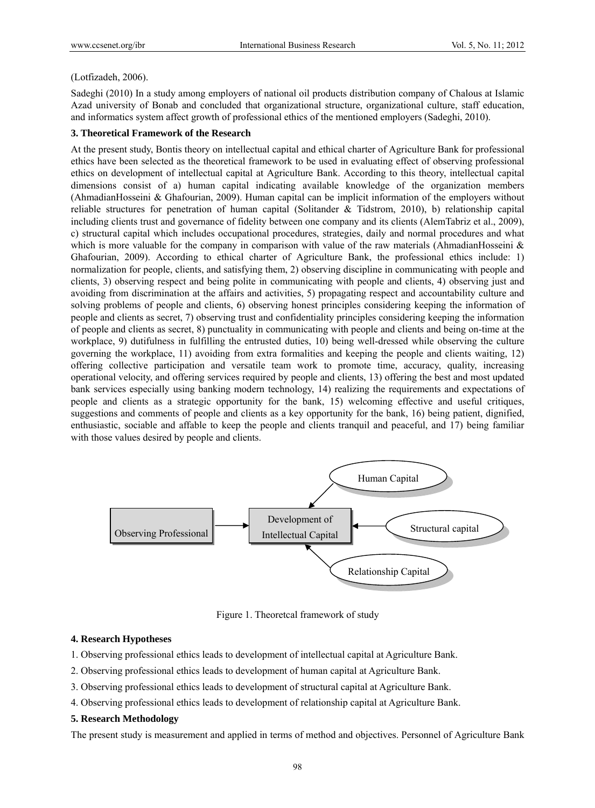#### (Lotfizadeh, 2006).

Sadeghi (2010) In a study among employers of national oil products distribution company of Chalous at Islamic Azad university of Bonab and concluded that organizational structure, organizational culture, staff education, and informatics system affect growth of professional ethics of the mentioned employers (Sadeghi, 2010).

### **3. Theoretical Framework of the Research**

At the present study, Bontis theory on intellectual capital and ethical charter of Agriculture Bank for professional ethics have been selected as the theoretical framework to be used in evaluating effect of observing professional ethics on development of intellectual capital at Agriculture Bank. According to this theory, intellectual capital dimensions consist of a) human capital indicating available knowledge of the organization members (AhmadianHosseini & Ghafourian, 2009). Human capital can be implicit information of the employers without reliable structures for penetration of human capital (Solitander & Tidstrom, 2010), b) relationship capital including clients trust and governance of fidelity between one company and its clients (AlemTabriz et al., 2009), c) structural capital which includes occupational procedures, strategies, daily and normal procedures and what which is more valuable for the company in comparison with value of the raw materials (AhmadianHosseini  $\&$ Ghafourian, 2009). According to ethical charter of Agriculture Bank, the professional ethics include: 1) normalization for people, clients, and satisfying them, 2) observing discipline in communicating with people and clients, 3) observing respect and being polite in communicating with people and clients, 4) observing just and avoiding from discrimination at the affairs and activities, 5) propagating respect and accountability culture and solving problems of people and clients, 6) observing honest principles considering keeping the information of people and clients as secret, 7) observing trust and confidentiality principles considering keeping the information of people and clients as secret, 8) punctuality in communicating with people and clients and being on-time at the workplace, 9) dutifulness in fulfilling the entrusted duties, 10) being well-dressed while observing the culture governing the workplace, 11) avoiding from extra formalities and keeping the people and clients waiting, 12) offering collective participation and versatile team work to promote time, accuracy, quality, increasing operational velocity, and offering services required by people and clients, 13) offering the best and most updated bank services especially using banking modern technology, 14) realizing the requirements and expectations of people and clients as a strategic opportunity for the bank, 15) welcoming effective and useful critiques, suggestions and comments of people and clients as a key opportunity for the bank, 16) being patient, dignified, enthusiastic, sociable and affable to keep the people and clients tranquil and peaceful, and 17) being familiar with those values desired by people and clients.



Figure 1. Theoretcal framework of study

#### **4. Research Hypotheses**

- 1. Observing professional ethics leads to development of intellectual capital at Agriculture Bank.
- 2. Observing professional ethics leads to development of human capital at Agriculture Bank.
- 3. Observing professional ethics leads to development of structural capital at Agriculture Bank.
- 4. Observing professional ethics leads to development of relationship capital at Agriculture Bank.

#### **5. Research Methodology**

The present study is measurement and applied in terms of method and objectives. Personnel of Agriculture Bank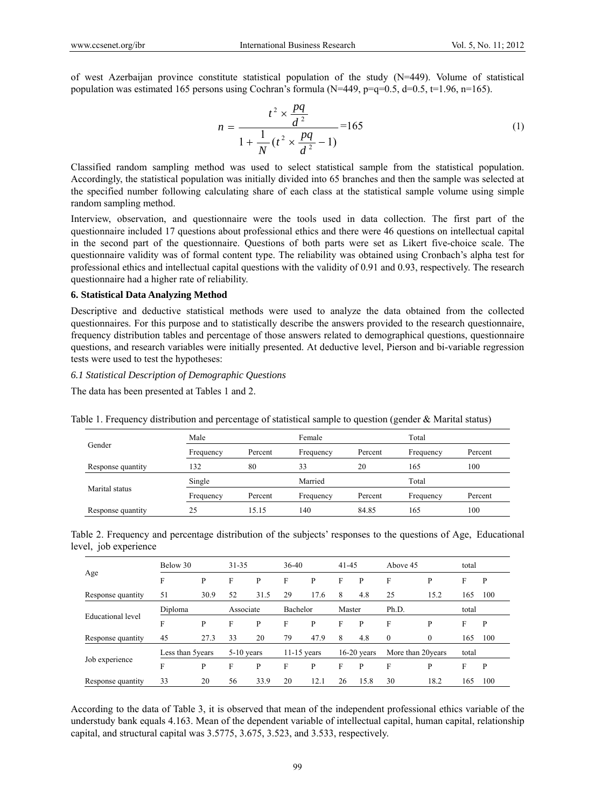of west Azerbaijan province constitute statistical population of the study (N=449). Volume of statistical population was estimated 165 persons using Cochran's formula (N=449, p=q=0.5, d=0.5, t=1.96, n=165).

$$
n = \frac{t^2 \times \frac{pq}{d^2}}{1 + \frac{1}{N} (t^2 \times \frac{pq}{d^2} - 1)} = 165
$$
 (1)

Classified random sampling method was used to select statistical sample from the statistical population. Accordingly, the statistical population was initially divided into 65 branches and then the sample was selected at the specified number following calculating share of each class at the statistical sample volume using simple random sampling method.

Interview, observation, and questionnaire were the tools used in data collection. The first part of the questionnaire included 17 questions about professional ethics and there were 46 questions on intellectual capital in the second part of the questionnaire. Questions of both parts were set as Likert five-choice scale. The questionnaire validity was of formal content type. The reliability was obtained using Cronbach's alpha test for professional ethics and intellectual capital questions with the validity of 0.91 and 0.93, respectively. The research questionnaire had a higher rate of reliability.

#### **6. Statistical Data Analyzing Method**

Descriptive and deductive statistical methods were used to analyze the data obtained from the collected questionnaires. For this purpose and to statistically describe the answers provided to the research questionnaire, frequency distribution tables and percentage of those answers related to demographical questions, questionnaire questions, and research variables were initially presented. At deductive level, Pierson and bi-variable regression tests were used to test the hypotheses:

# *6.1 Statistical Description of Demographic Questions*

The data has been presented at Tables 1 and 2.

|                   | Male                 |         | Female               |         | Total                |         |  |
|-------------------|----------------------|---------|----------------------|---------|----------------------|---------|--|
| Gender            | Percent<br>Frequency |         | Percent<br>Frequency |         | Percent<br>Frequency |         |  |
| Response quantity | 132                  | 80      | 33                   | 20      | 165                  | 100     |  |
| Marital status    | Single               |         | Married              |         | Total                |         |  |
|                   | Frequency            | Percent | Frequency            | Percent | Frequency            | Percent |  |
| Response quantity | 25                   | 15.15   | 140                  | 84.85   | 165                  | 100     |  |

Table 1. Frequency distribution and percentage of statistical sample to question (gender & Marital status)

Table 2. Frequency and percentage distribution of the subjects' responses to the questions of Age, Educational level, job experience

|                   | Below 30          |      | $31 - 35$ |              | $36-40$  |               | $41 - 45$ |               | Above 45 |                    | total |     |
|-------------------|-------------------|------|-----------|--------------|----------|---------------|-----------|---------------|----------|--------------------|-------|-----|
| Age               | F                 | P    | F         | P            | F        | P             | F         | P             | F        | P                  | F     | P   |
| Response quantity | 51                | 30.9 | 52        | 31.5         | 29       | 17.6          | 8         | 4.8           | 25       | 15.2               | 165   | 100 |
| Educational level | Diploma           |      | Associate |              | Bachelor |               | Master    |               | Ph.D.    |                    | total |     |
|                   | F                 | P    | F         | P            | F        | P             | F         | P             | F        | P                  | F     | P   |
| Response quantity | 45                | 27.3 | 33        | 20           | 79       | 47.9          | 8         | 4.8           | $\theta$ | $\theta$           | 165   | 100 |
| Job experience    | Less than 5 years |      |           | $5-10$ years |          | $11-15$ years |           | $16-20$ years |          | More than 20 years | total |     |
|                   | F                 | P    | F         | P            | F        | P             | F         | P             | F        | P                  | F     | P   |
| Response quantity | 33                | 20   | 56        | 33.9         | 20       | 12.1          | 26        | 15.8          | 30       | 18.2               | 165   | 100 |

According to the data of Table 3, it is observed that mean of the independent professional ethics variable of the understudy bank equals 4.163. Mean of the dependent variable of intellectual capital, human capital, relationship capital, and structural capital was 3.5775, 3.675, 3.523, and 3.533, respectively.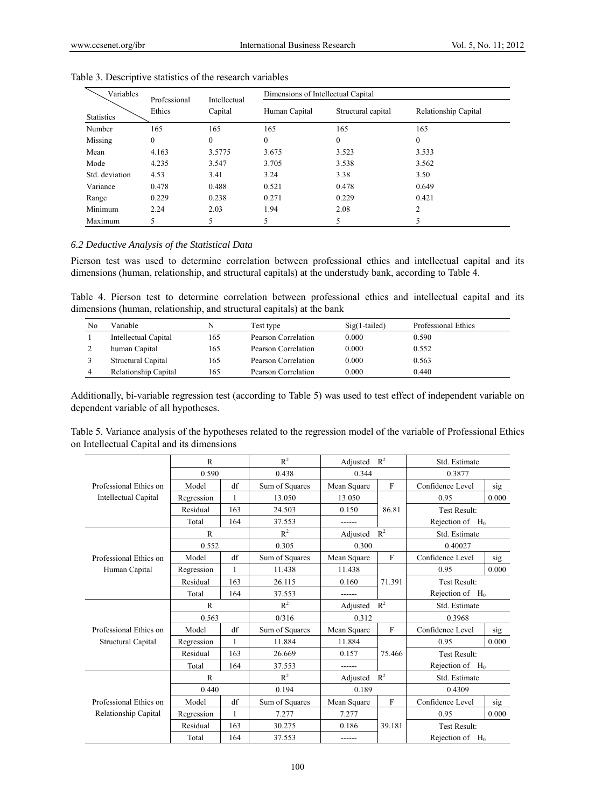| Variables         | Professional | Intellectual | Dimensions of Intellectual Capital |                    |                      |  |  |  |
|-------------------|--------------|--------------|------------------------------------|--------------------|----------------------|--|--|--|
| <b>Statistics</b> | Ethics       | Capital      | Human Capital                      | Structural capital | Relationship Capital |  |  |  |
| Number            | 165          | 165          | 165                                | 165                | 165                  |  |  |  |
| Missing           | $\mathbf{0}$ | $\mathbf{0}$ | $\boldsymbol{0}$                   | $\theta$           | $\boldsymbol{0}$     |  |  |  |
| Mean              | 4.163        | 3.5775       | 3.675                              | 3.523              | 3.533                |  |  |  |
| Mode              | 4.235        | 3.547        | 3.705                              | 3.538              | 3.562                |  |  |  |
| Std. deviation    | 4.53         | 3.41         | 3.24                               | 3.38               | 3.50                 |  |  |  |
| Variance          | 0.478        | 0.488        | 0.521                              | 0.478              | 0.649                |  |  |  |
| Range             | 0.229        | 0.238        | 0.271                              | 0.229              | 0.421                |  |  |  |
| Minimum           | 2.24         | 2.03         | 1.94                               | 2.08               | $\overline{c}$       |  |  |  |
| Maximum           |              |              |                                    | 5                  |                      |  |  |  |

Table 3. Descriptive statistics of the research variables

# *6.2 Deductive Analysis of the Statistical Data*

Pierson test was used to determine correlation between professional ethics and intellectual capital and its dimensions (human, relationship, and structural capitals) at the understudy bank, according to Table 4.

Table 4. Pierson test to determine correlation between professional ethics and intellectual capital and its dimensions (human, relationship, and structural capitals) at the bank

| No | Variable             | N   | Test type           | $Sig(1-tailed)$ | Professional Ethics |
|----|----------------------|-----|---------------------|-----------------|---------------------|
|    | Intellectual Capital | 165 | Pearson Correlation | 0.000           | 0.590               |
|    | human Capital        | 165 | Pearson Correlation | 0.000           | 0.552               |
|    | Structural Capital   | 165 | Pearson Correlation | 0.000           | 0.563               |
|    | Relationship Capital | 165 | Pearson Correlation | 0.000           | 0.440               |

Additionally, bi-variable regression test (according to Table 5) was used to test effect of independent variable on dependent variable of all hypotheses.

| Table 5. Variance analysis of the hypotheses related to the regression model of the variable of Professional Ethics |  |
|---------------------------------------------------------------------------------------------------------------------|--|
| on Intellectual Capital and its dimensions                                                                          |  |

|                             | $\mathbb{R}$                    |     | $R^2$          | Adjusted                    | $R^2$        | Std. Estimate           |       |  |
|-----------------------------|---------------------------------|-----|----------------|-----------------------------|--------------|-------------------------|-------|--|
|                             | 0.590                           |     | 0.438          | 0.344                       |              | 0.3877                  |       |  |
| Professional Ethics on      | Model                           | df  | Sum of Squares | $\mathbf{F}$<br>Mean Square |              | Confidence Level<br>sig |       |  |
| <b>Intellectual Capital</b> | Regression                      | 1   | 13.050         | 13.050                      |              | 0.95                    | 0.000 |  |
|                             | Residual                        | 163 | 24.503         | 86.81<br>0.150              |              | <b>Test Result:</b>     |       |  |
|                             | Total                           | 164 | 37.553         |                             |              | Rejection of $H_0$      |       |  |
|                             | $\mathsf{R}$                    |     | $R^2$          | Adjusted                    | $R^2$        | Std. Estimate           |       |  |
|                             | 0.552                           |     | 0.305          | 0.300                       |              | 0.40027                 |       |  |
| Professional Ethics on      | Model                           | df  | Sum of Squares | Mean Square                 | $\mathbf{F}$ | Confidence Level        | sig   |  |
| Human Capital               | Regression                      | 1   | 11.438         | 11.438                      |              | 0.95                    | 0.000 |  |
|                             | Residual                        | 163 | 26.115         | 71.391<br>0.160<br>------   |              | Test Result:            |       |  |
|                             | Total                           | 164 | 37.553         |                             |              | Rejection of $H_0$      |       |  |
|                             | $R^2$<br>$R^2$<br>R<br>Adjusted |     |                | Std. Estimate               |              |                         |       |  |
|                             | 0.563                           |     | 0/316          | 0.312                       |              | 0.3968                  |       |  |
| Professional Ethics on      | Model                           | df  | Sum of Squares | F<br>Mean Square            |              | Confidence Level        | sig   |  |
| Structural Capital          | Regression                      | 1   | 11.884         | 11.884                      |              | 0.95                    | 0.000 |  |
|                             | Residual                        | 163 | 26.669         | 0.157<br>75.466             |              | <b>Test Result:</b>     |       |  |
|                             | Total                           | 164 | 37.553         |                             |              | Rejection of $H_0$      |       |  |
|                             | $\mathsf{R}$                    |     | $R^2$          | Adjusted                    | $R^2$        | Std. Estimate           |       |  |
|                             | 0.440                           |     | 0.194          | 0.189                       |              | 0.4309                  |       |  |
| Professional Ethics on      | Model                           | df  | Sum of Squares | Mean Square                 | $\mathbf{F}$ | Confidence Level        | sig   |  |
| Relationship Capital        | Regression                      | 1   | 7.277          | 7.277                       |              | 0.95                    | 0.000 |  |
|                             | Residual                        | 163 | 30.275         | 39.181<br>0.186             |              | Test Result:            |       |  |
|                             | Total                           | 164 | 37.553         | ------                      |              | Rejection of<br>$H_0$   |       |  |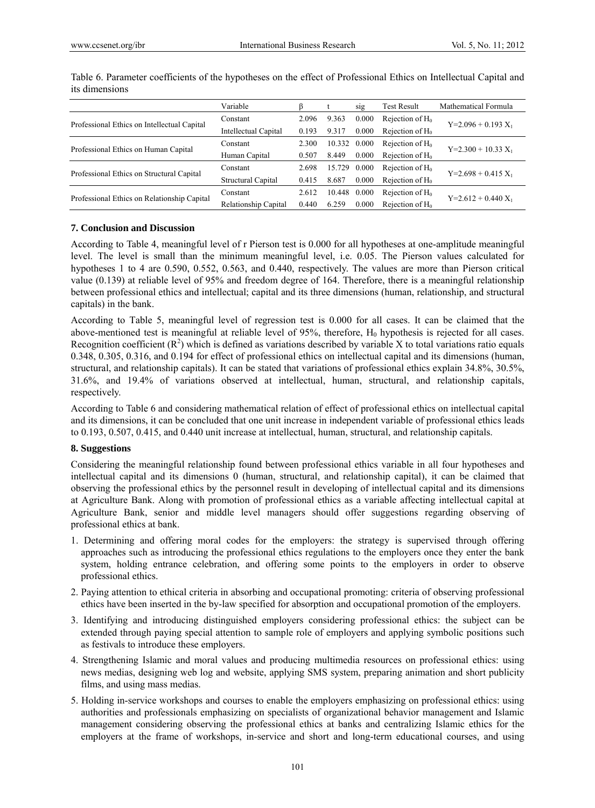|                                             | Variable             |       |        | sig   | <b>Test Result</b> | Mathematical Formula  |
|---------------------------------------------|----------------------|-------|--------|-------|--------------------|-----------------------|
|                                             | Constant             | 2.096 | 9.363  | 0.000 | Rejection of $H_0$ |                       |
| Professional Ethics on Intellectual Capital | Intellectual Capital | 0.193 | 9.317  | 0.000 | Rejection of $H_0$ | $Y=2.096 + 0.193 X_1$ |
|                                             | Constant             | 2.300 | 10.332 | 0.000 | Rejection of $H_0$ |                       |
| Professional Ethics on Human Capital        | Human Capital        | 0.507 | 8.449  | 0.000 | Rejection of $H_0$ | $Y=2.300 + 10.33 X_1$ |
|                                             | Constant             | 2.698 | 15.729 | 0.000 | Rejection of $H_0$ |                       |
| Professional Ethics on Structural Capital   | Structural Capital   | 0.415 | 8.687  | 0.000 | Rejection of $H_0$ | $Y=2.698 + 0.415 X_1$ |
| Professional Ethics on Relationship Capital | Constant             | 2.612 | 10.448 | 0.000 | Rejection of $H_0$ |                       |
|                                             | Relationship Capital | 0.440 | 6.259  | 0.000 | Rejection of $H_0$ | $Y=2.612 + 0.440 X_1$ |

Table 6. Parameter coefficients of the hypotheses on the effect of Professional Ethics on Intellectual Capital and its dimensions

# **7. Conclusion and Discussion**

According to Table 4, meaningful level of r Pierson test is 0.000 for all hypotheses at one-amplitude meaningful level. The level is small than the minimum meaningful level, i.e. 0.05. The Pierson values calculated for hypotheses 1 to 4 are 0.590, 0.552, 0.563, and 0.440, respectively. The values are more than Pierson critical value (0.139) at reliable level of 95% and freedom degree of 164. Therefore, there is a meaningful relationship between professional ethics and intellectual; capital and its three dimensions (human, relationship, and structural capitals) in the bank.

According to Table 5, meaningful level of regression test is 0.000 for all cases. It can be claimed that the above-mentioned test is meaningful at reliable level of 95%, therefore,  $H_0$  hypothesis is rejected for all cases. Recognition coefficient  $(R^2)$  which is defined as variations described by variable X to total variations ratio equals 0.348, 0.305, 0.316, and 0.194 for effect of professional ethics on intellectual capital and its dimensions (human, structural, and relationship capitals). It can be stated that variations of professional ethics explain 34.8%, 30.5%, 31.6%, and 19.4% of variations observed at intellectual, human, structural, and relationship capitals, respectively.

According to Table 6 and considering mathematical relation of effect of professional ethics on intellectual capital and its dimensions, it can be concluded that one unit increase in independent variable of professional ethics leads to 0.193, 0.507, 0.415, and 0.440 unit increase at intellectual, human, structural, and relationship capitals.

## **8. Suggestions**

Considering the meaningful relationship found between professional ethics variable in all four hypotheses and intellectual capital and its dimensions 0 (human, structural, and relationship capital), it can be claimed that observing the professional ethics by the personnel result in developing of intellectual capital and its dimensions at Agriculture Bank. Along with promotion of professional ethics as a variable affecting intellectual capital at Agriculture Bank, senior and middle level managers should offer suggestions regarding observing of professional ethics at bank.

- 1. Determining and offering moral codes for the employers: the strategy is supervised through offering approaches such as introducing the professional ethics regulations to the employers once they enter the bank system, holding entrance celebration, and offering some points to the employers in order to observe professional ethics.
- 2. Paying attention to ethical criteria in absorbing and occupational promoting: criteria of observing professional ethics have been inserted in the by-law specified for absorption and occupational promotion of the employers.
- 3. Identifying and introducing distinguished employers considering professional ethics: the subject can be extended through paying special attention to sample role of employers and applying symbolic positions such as festivals to introduce these employers.
- 4. Strengthening Islamic and moral values and producing multimedia resources on professional ethics: using news medias, designing web log and website, applying SMS system, preparing animation and short publicity films, and using mass medias.
- 5. Holding in-service workshops and courses to enable the employers emphasizing on professional ethics: using authorities and professionals emphasizing on specialists of organizational behavior management and Islamic management considering observing the professional ethics at banks and centralizing Islamic ethics for the employers at the frame of workshops, in-service and short and long-term educational courses, and using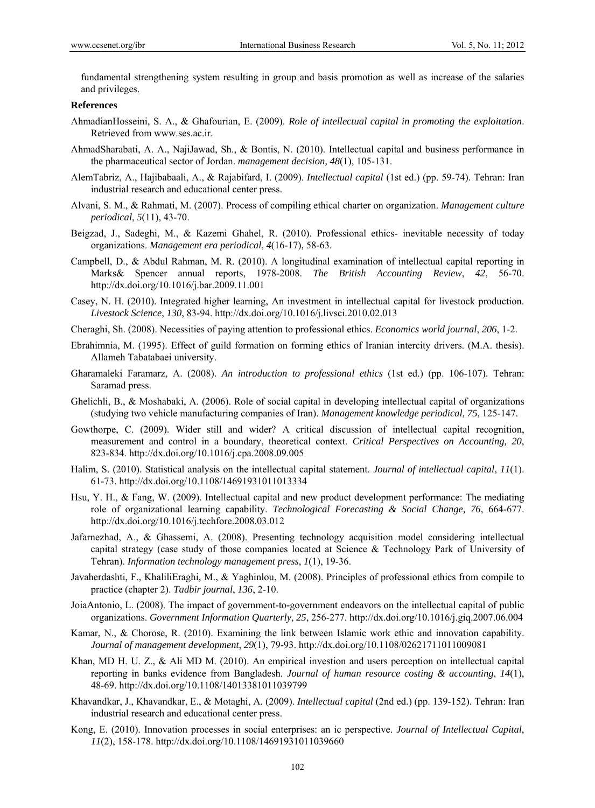fundamental strengthening system resulting in group and basis promotion as well as increase of the salaries and privileges.

#### **References**

- AhmadianHosseini, S. A., & Ghafourian, E. (2009). *Role of intellectual capital in promoting the exploitation*. Retrieved from www.ses.ac.ir.
- AhmadSharabati, A. A., NajiJawad, Sh., & Bontis, N. (2010). Intellectual capital and business performance in the pharmaceutical sector of Jordan. *management decision, 48*(1), 105-131.
- AlemTabriz, A., Hajibabaali, A., & Rajabifard, I. (2009). *Intellectual capital* (1st ed.) (pp. 59-74). Tehran: Iran industrial research and educational center press.
- Alvani, S. M., & Rahmati, M. (2007). Process of compiling ethical charter on organization. *Management culture periodical*, *5*(11), 43-70.
- Beigzad, J., Sadeghi, M., & Kazemi Ghahel, R. (2010). Professional ethics- inevitable necessity of today organizations. *Management era periodical*, *4*(16-17), 58-63.
- Campbell, D., & Abdul Rahman, M. R. (2010). A longitudinal examination of intellectual capital reporting in Marks& Spencer annual reports, 1978-2008. *The British Accounting Review*, *42*, 56-70. http://dx.doi.org/10.1016/j.bar.2009.11.001
- Casey, N. H. (2010). Integrated higher learning, An investment in intellectual capital for livestock production. *Livestock Science*, *130*, 83-94. http://dx.doi.org/10.1016/j.livsci.2010.02.013
- Cheraghi, Sh. (2008). Necessities of paying attention to professional ethics. *Economics world journal*, *206*, 1-2.
- Ebrahimnia, M. (1995). Effect of guild formation on forming ethics of Iranian intercity drivers. (M.A. thesis). Allameh Tabatabaei university.
- Gharamaleki Faramarz, A. (2008). *An introduction to professional ethics* (1st ed.) (pp. 106-107). Tehran: Saramad press.
- Ghelichli, B., & Moshabaki, A. (2006). Role of social capital in developing intellectual capital of organizations (studying two vehicle manufacturing companies of Iran). *Management knowledge periodical*, *75*, 125-147.
- Gowthorpe, C. (2009). Wider still and wider? A critical discussion of intellectual capital recognition, measurement and control in a boundary, theoretical context. *Critical Perspectives on Accounting, 20*, 823-834. http://dx.doi.org/10.1016/j.cpa.2008.09.005
- Halim, S. (2010). Statistical analysis on the intellectual capital statement. *Journal of intellectual capital*, *11*(1). 61-73. http://dx.doi.org/10.1108/14691931011013334
- Hsu, Y. H., & Fang, W. (2009). Intellectual capital and new product development performance: The mediating role of organizational learning capability. *Technological Forecasting & Social Change, 76*, 664-677. http://dx.doi.org/10.1016/j.techfore.2008.03.012
- Jafarnezhad, A., & Ghassemi, A. (2008). Presenting technology acquisition model considering intellectual capital strategy (case study of those companies located at Science & Technology Park of University of Tehran). *Information technology management press*, *1*(1), 19-36.
- Javaherdashti, F., KhaliliEraghi, M., & Yaghinlou, M. (2008). Principles of professional ethics from compile to practice (chapter 2). *Tadbir journal*, *136*, 2-10.
- JoiaAntonio, L. (2008). The impact of government-to-government endeavors on the intellectual capital of public organizations. *Government Information Quarterly*, *25*, 256-277. http://dx.doi.org/10.1016/j.giq.2007.06.004
- Kamar, N., & Chorose, R. (2010). Examining the link between Islamic work ethic and innovation capability. *Journal of management development*, *29*(1), 79-93. http://dx.doi.org/10.1108/02621711011009081
- Khan, MD H. U. Z., & Ali MD M. (2010). An empirical investion and users perception on intellectual capital reporting in banks evidence from Bangladesh. *Journal of human resource costing & accounting*, *14*(1), 48-69. http://dx.doi.org/10.1108/14013381011039799
- Khavandkar, J., Khavandkar, E., & Motaghi, A. (2009). *Intellectual capital* (2nd ed.) (pp. 139-152). Tehran: Iran industrial research and educational center press.
- Kong, E. (2010). Innovation processes in social enterprises: an ic perspective. *Journal of Intellectual Capital*, *11*(2), 158-178. http://dx.doi.org/10.1108/14691931011039660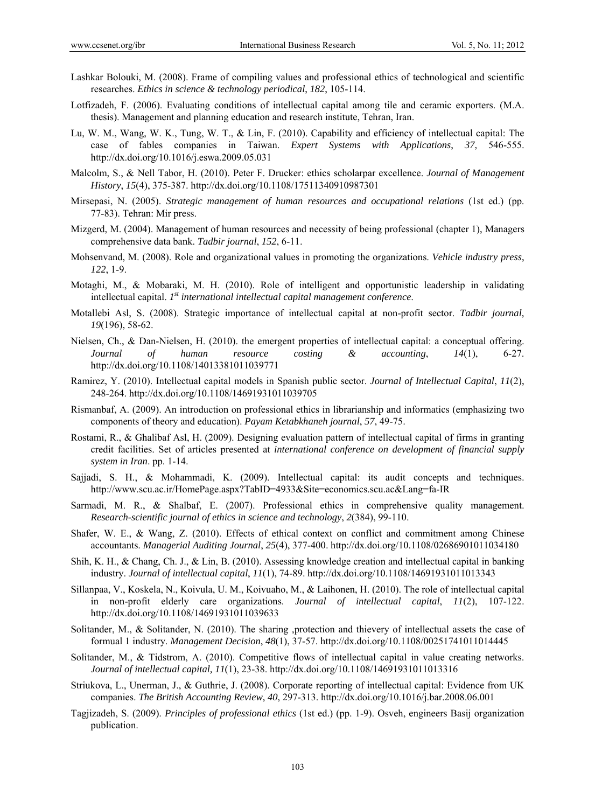- Lashkar Bolouki, M. (2008). Frame of compiling values and professional ethics of technological and scientific researches. *Ethics in science & technology periodical*, *182*, 105-114.
- Lotfizadeh, F. (2006). Evaluating conditions of intellectual capital among tile and ceramic exporters. (M.A. thesis). Management and planning education and research institute, Tehran, Iran.
- Lu, W. M., Wang, W. K., Tung, W. T., & Lin, F. (2010). Capability and efficiency of intellectual capital: The case of fables companies in Taiwan. *Expert Systems with Applications*, *37*, 546-555. http://dx.doi.org/10.1016/j.eswa.2009.05.031
- Malcolm, S., & Nell Tabor, H. (2010). Peter F. Drucker: ethics scholarpar excellence. *Journal of Management History*, *15*(4), 375-387. http://dx.doi.org/10.1108/17511340910987301
- Mirsepasi, N. (2005). *Strategic management of human resources and occupational relations* (1st ed.) (pp. 77-83). Tehran: Mir press.
- Mizgerd, M. (2004). Management of human resources and necessity of being professional (chapter 1), Managers comprehensive data bank. *Tadbir journal*, *152*, 6-11.
- Mohsenvand, M. (2008). Role and organizational values in promoting the organizations. *Vehicle industry press*, *122*, 1-9.
- Motaghi, M., & Mobaraki, M. H. (2010). Role of intelligent and opportunistic leadership in validating intellectual capital. *1st international intellectual capital management conference*.
- Motallebi Asl, S. (2008). Strategic importance of intellectual capital at non-profit sector. *Tadbir journal*, *19*(196), 58-62.
- Nielsen, Ch., & Dan-Nielsen, H. (2010). the emergent properties of intellectual capital: a conceptual offering. *Journal of human resource costing & accounting*, *14*(1), 6-27. http://dx.doi.org/10.1108/14013381011039771
- Ramirez, Y. (2010). Intellectual capital models in Spanish public sector. *Journal of Intellectual Capital*, *11*(2), 248-264. http://dx.doi.org/10.1108/14691931011039705
- Rismanbaf, A. (2009). An introduction on professional ethics in librarianship and informatics (emphasizing two components of theory and education). *Payam Ketabkhaneh journal*, *57*, 49-75.
- Rostami, R., & Ghalibaf Asl, H. (2009). Designing evaluation pattern of intellectual capital of firms in granting credit facilities. Set of articles presented at *international conference on development of financial supply system in Iran*. pp. 1-14.
- Sajjadi, S. H., & Mohammadi, K. (2009). Intellectual capital: its audit concepts and techniques. http://www.scu.ac.ir/HomePage.aspx?TabID=4933&Site=economics.scu.ac&Lang=fa-IR
- Sarmadi, M. R., & Shalbaf, E. (2007). Professional ethics in comprehensive quality management. *Research-scientific journal of ethics in science and technology*, *2*(384), 99-110.
- Shafer, W. E., & Wang, Z. (2010). Effects of ethical context on conflict and commitment among Chinese accountants. *Managerial Auditing Journal*, *25*(4), 377-400. http://dx.doi.org/10.1108/02686901011034180
- Shih, K. H., & Chang, Ch. J., & Lin, B. (2010). Assessing knowledge creation and intellectual capital in banking industry. *Journal of intellectual capital*, *11*(1), 74-89. http://dx.doi.org/10.1108/14691931011013343
- Sillanpaa, V., Koskela, N., Koivula, U. M., Koivuaho, M., & Laihonen, H. (2010). The role of intellectual capital in non-profit elderly care organizations. *Journal of intellectual capital*, *11*(2), 107-122. http://dx.doi.org/10.1108/14691931011039633
- Solitander, M., & Solitander, N. (2010). The sharing ,protection and thievery of intellectual assets the case of formual 1 industry. *Management Decision*, *48*(1), 37-57. http://dx.doi.org/10.1108/00251741011014445
- Solitander, M., & Tidstrom, A. (2010). Competitive flows of intellectual capital in value creating networks. *Journal of intellectual capital, 11*(1), 23-38. http://dx.doi.org/10.1108/14691931011013316
- Striukova, L., Unerman, J., & Guthrie, J. (2008). Corporate reporting of intellectual capital: Evidence from UK companies. *The British Accounting Review*, *40*, 297-313. http://dx.doi.org/10.1016/j.bar.2008.06.001
- Tagjizadeh, S. (2009). *Principles of professional ethics* (1st ed.) (pp. 1-9). Osveh, engineers Basij organization publication.